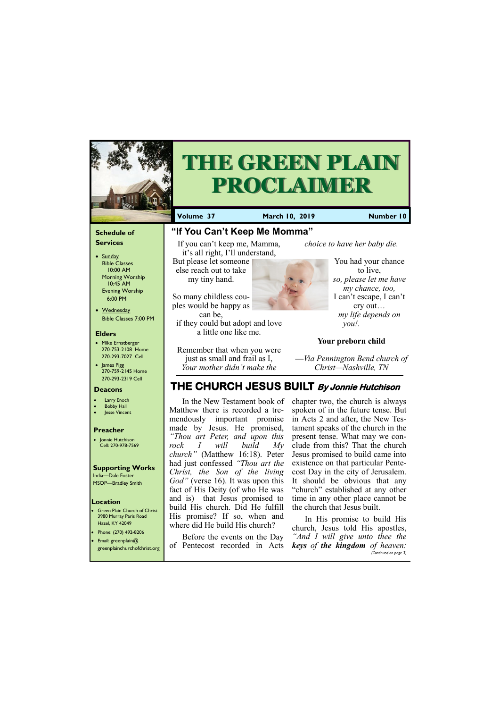### **Schedule of Services**

- Sunday Bible Classes 10:00 AM Morning Worship 10:45 AM Evening Worship 6:00 PM
- Wednesday Bible Classes 7:00 PM

## **Elders**

**Green Plain Church of Christ** 3980 Murray Paris Road Hazel, KY 42049 • Phone: (270) 492-8206

- Mike Ernstberger 270-753-2108 Home 270-293-7027 Cell
- James Pigg 270-759-2145 Home 270-293-2319 Cell

## **Location**



# **THE GREEN PLAIN PROCLAIMER**

**Volume 37 March 10, 2019 Number 10**

#### **Deacons**

- **Larry Enoch**
- **Bobby Hall**
- Jesse Vincent

## **Preacher**

• Jonnie Hutchison Cell: 270-978-7569

## **Supporting Works** India—Dale Foster

MSOP—Bradley Smith

**"If You Can't Keep Me Momma"**

If you can't keep me, Mamma,



But please let someone else reach out to take my tiny hand.

So many childless couples would be happy as can be,

if they could but adopt and love a little one like me.

Remember that when you were just as small and frail as I, *Your mother didn't make the* 

*choice to have her baby die.*

You had your chance to live, *so, please let me have my chance, too,* I can't escape, I can't cry out… *my life depends on you!.*

## **Your preborn child**

**—***Via Pennington Bend church of Christ—Nashville, TN*

## **THE CHURCH JESUS BUILT By Jonnie Hutchison**

| $\sim$ 110116. (27 0) 172-0200<br>Email: greenplain@ |                                                              | Before the events on the Day "And I will give unto thee the |
|------------------------------------------------------|--------------------------------------------------------------|-------------------------------------------------------------|
| greenplainchurchofchrist.org                         | of Pentecost recorded in Acts keys of the kingdom of heaven: | (Continued on page 3)                                       |

In the New Testament book of Matthew there is recorded a tremendously important promise made by Jesus. He promised, *"Thou art Peter, and upon this rock I will build My church"* (Matthew 16:18). Peter had just confessed *"Thou art the Christ, the Son of the living God"* (verse 16). It was upon this fact of His Deity (of who He was and is) that Jesus promised to build His church. Did He fulfill His promise? If so, when and where did He build His church?

chapter two, the church is always spoken of in the future tense. But in Acts 2 and after, the New Testament speaks of the church in the present tense. What may we conclude from this? That the church Jesus promised to build came into existence on that particular Pentecost Day in the city of Jerusalem. It should be obvious that any "church" established at any other time in any other place cannot be the church that Jesus built.

In His promise to build His church, Jesus told His apostles,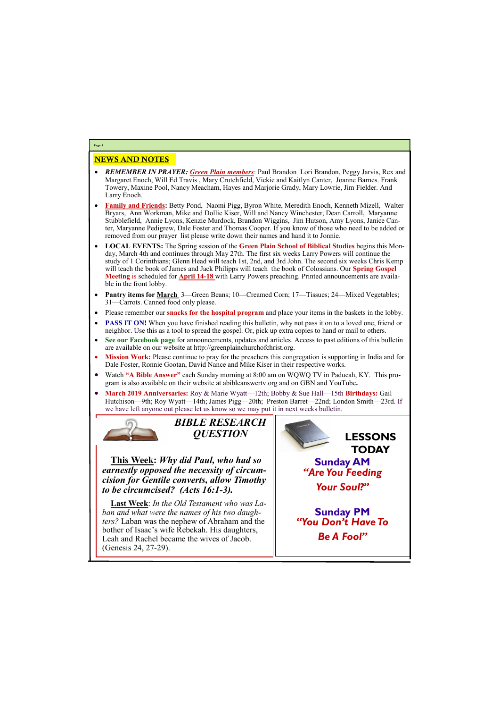## NEWS AND NOTES

- *REMEMBER IN PRAYER: Green Plain members*: Paul Brandon Lori Brandon, Peggy Jarvis, Rex and Margaret Enoch, Will Ed Travis , Mary Crutchfield, Vickie and Kaitlyn Canter, Joanne Barnes. Frank Towery, Maxine Pool, Nancy Meacham, Hayes and Marjorie Grady, Mary Lowrie, Jim Fielder. And Larry Enoch.
- **Family and Friends:** Betty Pond, Naomi Pigg, Byron White, Meredith Enoch, Kenneth Mizell, Walter Bryars, Ann Workman, Mike and Dollie Kiser, Will and Nancy Winchester, Dean Carroll, Maryanne Stubblefield, Annie Lyons, Kenzie Murdock, Brandon Wiggins, Jim Hutson, Amy Lyons, Janice Canter, Maryanne Pedigrew, Dale Foster and Thomas Cooper. If you know of those who need to be added or removed from our prayer list please write down their names and hand it to Jonnie.
- **LOCAL EVENTS:** The Spring session of the **Green Plain School of Biblical Studies** begins this Monday, March 4th and continues through May 27th. The first six weeks Larry Powers will continue the study of 1 Corinthians; Glenn Head will teach 1st, 2nd, and 3rd John. The second six weeks Chris Kemp will teach the book of James and Jack Philipps will teach the book of Colossians. Our **Spring Gospel Meeting** is scheduled for **April 14-18** with Larry Powers preaching. Printed announcements are available in the front lobby.
- **Pantry items for March** 3—Green Beans; 10—Creamed Corn; 17—Tissues; 24—Mixed Vegetables; 31—Carrots. Canned food only please.
- Please remember our **snacks for the hospital program** and place your items in the baskets in the lobby.
- **PASS IT ON!** When you have finished reading this bulletin, why not pass it on to a loved one, friend or neighbor. Use this as a tool to spread the gospel. Or, pick up extra copies to hand or mail to others.
- **See our Facebook page** for announcements, updates and articles. Access to past editions of this bulletin are available on our website at http://greenplainchurchofchrist.org.
- **Mission Work:** Please continue to pray for the preachers this congregation is supporting in India and for Dale Foster, Ronnie Gootan, David Nance and Mike Kiser in their respective works.
- Watch **"A Bible Answer"** each Sunday morning at 8:00 am on WQWQ TV in Paducah, KY. This program is also available on their website at abibleanswertv.org and on GBN and YouTube**.**
- **March 2019 Anniversaries:** Roy & Marie Wyatt—12th; Bobby & Sue Hall—15th **Birthdays:** Gail Hutchison—9th; Roy Wyatt—14th; James Pigg—20th; Preston Barret—22nd; London Smith—23rd. If we have left anyone out please let us know so we may put it in next weeks bulletin.



**Page 2**



**This Week:** *Why did Paul, who had so earnestly opposed the necessity of circumcision for Gentile converts, allow Timothy to be circumcised? (Acts 16:1-3).*

**Last Week**: *In the Old Testament who was Laban and what were the names of his two daughters?* Laban was the nephew of Abraham and the bother of Isaac's wife Rebekah. His daughters,

| COMICI OI IDWAC D'H'IIC ITCOCHWIN IIID GAMEINCIDE<br>Leah and Rachel became the wives of Jacob.<br>Genesis 24, 27-29). | <b>Be A Fool"</b> |
|------------------------------------------------------------------------------------------------------------------------|-------------------|
|                                                                                                                        |                   |

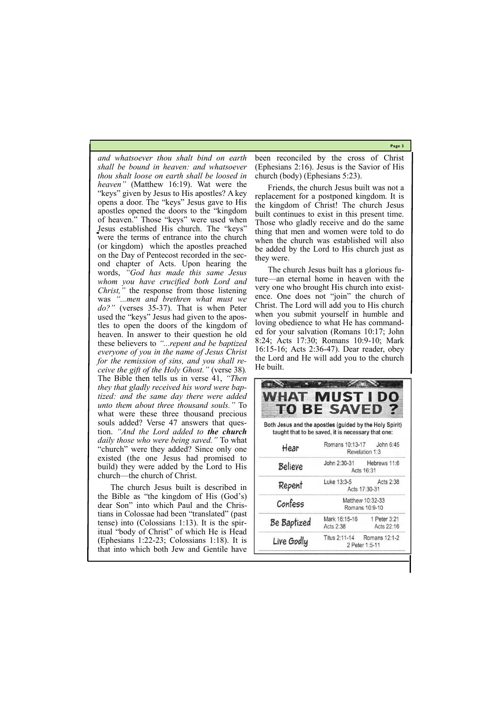**Page 3**

|            |                | Titus 2:11-14 Romans 12:1-2 |
|------------|----------------|-----------------------------|
| Live Godly | 2 Peter 1:5-11 |                             |
|            |                |                             |

*and whatsoever thou shalt bind on earth shall be bound in heaven: and whatsoever thou shalt loose on earth shall be loosed in heaven"* (Matthew 16:19). Wat were the "keys" given by Jesus to His apostles? A key opens a door. The "keys" Jesus gave to His apostles opened the doors to the "kingdom of heaven." Those "keys" were used when Jesus established His church. The "keys" were the terms of entrance into the church (or kingdom) which the apostles preached on the Day of Pentecost recorded in the second chapter of Acts. Upon hearing the words, *"God has made this same Jesus whom you have crucified both Lord and Christ,"* the response from those listening was *"...men and brethren what must we do?"* (verses 35-37). That is when Peter used the "keys" Jesus had given to the apostles to open the doors of the kingdom of heaven. In answer to their question he old these believers to *"...repent and be baptized everyone of you in the name of Jesus Christ for the remission of sins, and you shall receive the gift of the Holy Ghost."* (verse 38)*.*  The Bible then tells us in verse 41, *"Then they that gladly received his word were baptized: and the same day there were added unto them about three thousand souls."* To what were these three thousand precious souls added? Verse 47 answers that question. *"And the Lord added to the church daily those who were being saved."* To what "church" were they added? Since only one existed (the one Jesus had promised to build) they were added by the Lord to His church—the church of Christ.

The church Jesus built is described in the Bible as "the kingdom of His (God's) dear Son" into which Paul and the Christians in Colossae had been "translated" (past tense) into (Colossians 1:13). It is the spiritual "body of Christ" of which He is Head (Ephesians 1:22-23; Colossians 1:18). It is that into which both Jew and Gentile have

been reconciled by the cross of Christ (Ephesians 2:16). Jesus is the Savior of His church (body) (Ephesians 5:23).

Friends, the church Jesus built was not a replacement for a postponed kingdom. It is the kingdom of Christ! The church Jesus built continues to exist in this present time. Those who gladly receive and do the same thing that men and women were told to do when the church was established will also be added by the Lord to His church just as they were.

The church Jesus built has a glorious future—an eternal home in heaven with the very one who brought His church into existence. One does not "join" the church of Christ. The Lord will add you to His church when you submit yourself in humble and loving obedience to what He has commanded for your salvation (Romans 10:17; John 8:24; Acts 17:30; Romans 10:9-10; Mark 16:15-16; Acts 2:36-47). Dear reader, obey the Lord and He will add you to the church He built.

| <b>WHAT MUST I DO</b>                                   | <b>TO BE SAVED</b>                                 |                            |
|---------------------------------------------------------|----------------------------------------------------|----------------------------|
| Both Jesus and the apostles (guided by the Holy Spirit) | taught that to be saved, it is necessary that one: |                            |
| Hear                                                    | Romans 10:13-17    John 6:45<br>Revelation 1:3     |                            |
| <b>Believe</b>                                          | John 2:30-31 Hebrews 11:6                          | Acts 16:31                 |
| Repent                                                  | Luke 13:3-5                                        | Acts 2:38<br>Acts 17:30-31 |
| Confess                                                 | Matthew 10:32-33<br>Romans 10:9-10                 |                            |
| Be Baptized                                             | Mark 16:15-16<br>Acts 2:38                         | 1 Peter 3:21<br>Acts 22:16 |
|                                                         |                                                    |                            |